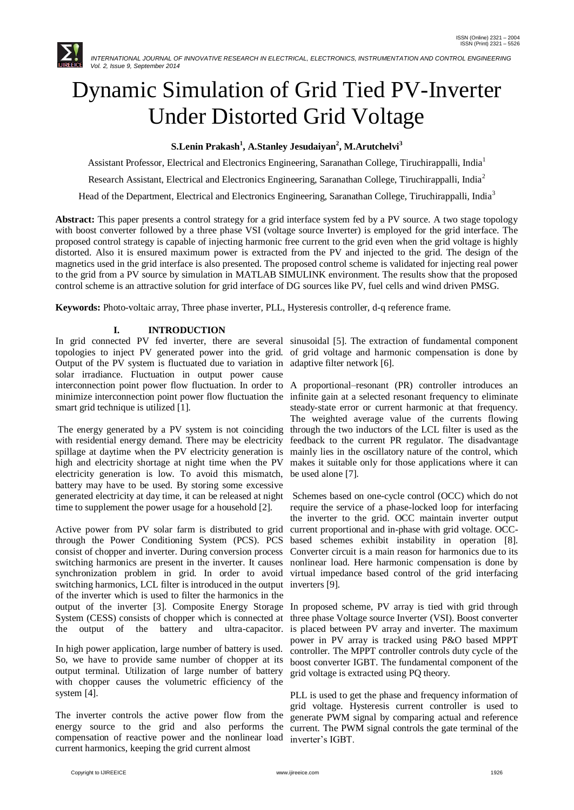

# Dynamic Simulation of Grid Tied PV-Inverter Under Distorted Grid Voltage

**S.Lenin Prakash<sup>1</sup> , A.Stanley Jesudaiyan<sup>2</sup> , M.Arutchelvi<sup>3</sup>**

Assistant Professor, Electrical and Electronics Engineering, Saranathan College, Tiruchirappalli, India<sup>1</sup>

Research Assistant, Electrical and Electronics Engineering, Saranathan College, Tiruchirappalli, India<sup>2</sup>

Head of the Department, Electrical and Electronics Engineering, Saranathan College, Tiruchirappalli, India<sup>3</sup>

**Abstract:** This paper presents a control strategy for a grid interface system fed by a PV source. A two stage topology with boost converter followed by a three phase VSI (voltage source Inverter) is employed for the grid interface. The proposed control strategy is capable of injecting harmonic free current to the grid even when the grid voltage is highly distorted. Also it is ensured maximum power is extracted from the PV and injected to the grid. The design of the magnetics used in the grid interface is also presented. The proposed control scheme is validated for injecting real power to the grid from a PV source by simulation in MATLAB SIMULINK environment. The results show that the proposed control scheme is an attractive solution for grid interface of DG sources like PV, fuel cells and wind driven PMSG.

**Keywords:** Photo-voltaic array, Three phase inverter, PLL, Hysteresis controller, d-q reference frame.

# **I. INTRODUCTION**

In grid connected PV fed inverter, there are several sinusoidal [5]. The extraction of fundamental component topologies to inject PV generated power into the grid. of grid voltage and harmonic compensation is done by Output of the PV system is fluctuated due to variation in adaptive filter network [6]. solar irradiance. Fluctuation in output power cause interconnection point power flow fluctuation. In order to A proportional–resonant (PR) controller introduces an minimize interconnection point power flow fluctuation the infinite gain at a selected resonant frequency to eliminate smart grid technique is utilized [1].

The energy generated by a PV system is not coinciding with residential energy demand. There may be electricity spillage at daytime when the PV electricity generation is high and electricity shortage at night time when the PV electricity generation is low. To avoid this mismatch, battery may have to be used. By storing some excessive generated electricity at day time, it can be released at night time to supplement the power usage for a household [2].

Active power from PV solar farm is distributed to grid through the Power Conditioning System (PCS). PCS consist of chopper and inverter. During conversion process switching harmonics are present in the inverter. It causes synchronization problem in grid. In order to avoid switching harmonics, LCL filter is introduced in the output inverters [9]. of the inverter which is used to filter the harmonics in the output of the inverter [3]. Composite Energy Storage In proposed scheme, PV array is tied with grid through System (CESS) consists of chopper which is connected at three phase Voltage source Inverter (VSI). Boost converter the output of the battery and ultra-capacitor.

In high power application, large number of battery is used. So, we have to provide same number of chopper at its output terminal. Utilization of large number of battery with chopper causes the volumetric efficiency of the system [4].

The inverter controls the active power flow from the energy source to the grid and also performs the compensation of reactive power and the nonlinear load current harmonics, keeping the grid current almost

steady-state error or current harmonic at that frequency. The weighted average value of the currents flowing through the two inductors of the LCL filter is used as the feedback to the current PR regulator. The disadvantage mainly lies in the oscillatory nature of the control, which makes it suitable only for those applications where it can be used alone [7].

Schemes based on one-cycle control (OCC) which do not require the service of a phase-locked loop for interfacing the inverter to the grid. OCC maintain inverter output current proportional and in-phase with grid voltage. OCCbased schemes exhibit instability in operation [8]. Converter circuit is a main reason for harmonics due to its nonlinear load. Here harmonic compensation is done by virtual impedance based control of the grid interfacing

is placed between PV array and inverter. The maximum power in PV array is tracked using P&O based MPPT controller. The MPPT controller controls duty cycle of the boost converter IGBT. The fundamental component of the grid voltage is extracted using PQ theory.

PLL is used to get the phase and frequency information of grid voltage. Hysteresis current controller is used to generate PWM signal by comparing actual and reference current. The PWM signal controls the gate terminal of the inverter's IGBT.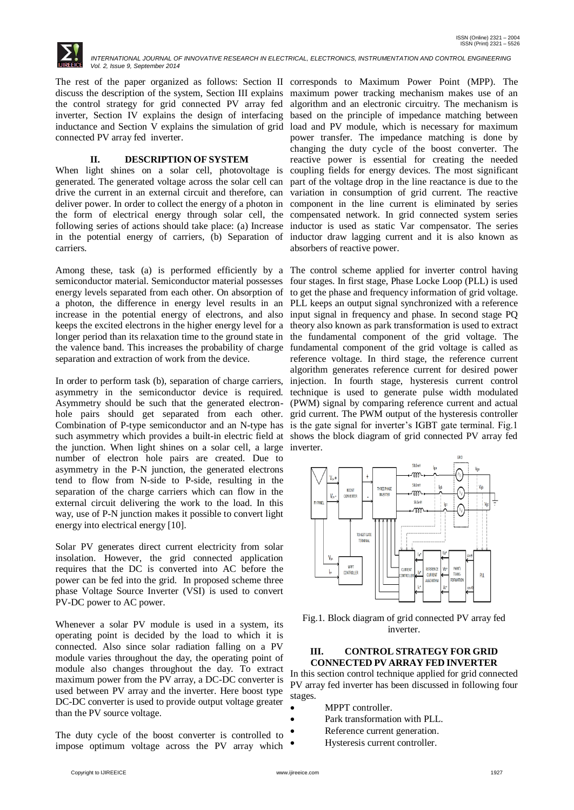

The rest of the paper organized as follows: Section II corresponds to Maximum Power Point (MPP). The discuss the description of the system, Section III explains maximum power tracking mechanism makes use of an the control strategy for grid connected PV array fed inverter, Section IV explains the design of interfacing based on the principle of impedance matching between inductance and Section V explains the simulation of grid load and PV module, which is necessary for maximum connected PV array fed inverter.

## **II. DESCRIPTION OF SYSTEM**

When light shines on a solar cell, photovoltage is coupling fields for energy devices. The most significant generated. The generated voltage across the solar cell can part of the voltage drop in the line reactance is due to the drive the current in an external circuit and therefore, can variation in consumption of grid current. The reactive deliver power. In order to collect the energy of a photon in the form of electrical energy through solar cell, the following series of actions should take place: (a) Increase in the potential energy of carriers, (b) Separation of carriers.

Among these, task (a) is performed efficiently by a The control scheme applied for inverter control having semiconductor material. Semiconductor material possesses four stages. In first stage, Phase Locke Loop (PLL) is used energy levels separated from each other. On absorption of to get the phase and frequency information of grid voltage. a photon, the difference in energy level results in an PLL keeps an output signal synchronized with a reference increase in the potential energy of electrons, and also input signal in frequency and phase. In second stage PQ keeps the excited electrons in the higher energy level for a theory also known as park transformation is used to extract longer period than its relaxation time to the ground state in the fundamental component of the grid voltage. The the valence band. This increases the probability of charge separation and extraction of work from the device.

In order to perform task (b), separation of charge carriers, asymmetry in the semiconductor device is required. Asymmetry should be such that the generated electronhole pairs should get separated from each other. grid current. The PWM output of the hysteresis controller Combination of P-type semiconductor and an N-type has is the gate signal for inverter's IGBT gate terminal. Fig.1 such asymmetry which provides a built-in electric field at shows the block diagram of grid connected PV array fed the junction. When light shines on a solar cell, a large inverter. number of electron hole pairs are created. Due to asymmetry in the P-N junction, the generated electrons tend to flow from N-side to P-side, resulting in the separation of the charge carriers which can flow in the external circuit delivering the work to the load. In this way, use of P-N junction makes it possible to convert light energy into electrical energy [10].

Solar PV generates direct current electricity from solar insolation. However, the grid connected application requires that the DC is converted into AC before the power can be fed into the grid. In proposed scheme three phase Voltage Source Inverter (VSI) is used to convert PV-DC power to AC power.

Whenever a solar PV module is used in a system, its operating point is decided by the load to which it is connected. Also since solar radiation falling on a PV module varies throughout the day, the operating point of module also changes throughout the day. To extract maximum power from the PV array, a DC-DC converter is used between PV array and the inverter. Here boost type DC-DC converter is used to provide output voltage greater than the PV source voltage.

The duty cycle of the boost converter is controlled to impose optimum voltage across the PV array which

algorithm and an electronic circuitry. The mechanism is power transfer. The impedance matching is done by changing the duty cycle of the boost converter. The reactive power is essential for creating the needed component in the line current is eliminated by series compensated network. In grid connected system series inductor is used as static Var compensator. The series inductor draw lagging current and it is also known as absorbers of reactive power.

fundamental component of the grid voltage is called as reference voltage. In third stage, the reference current algorithm generates reference current for desired power injection. In fourth stage, hysteresis current control technique is used to generate pulse width modulated (PWM) signal by comparing reference current and actual



Fig.1. Block diagram of grid connected PV array fed inverter.

#### **III. CONTROL STRATEGY FOR GRID CONNECTED PV ARRAY FED INVERTER**

In this section control technique applied for grid connected PV array fed inverter has been discussed in following four stages.

- MPPT controller.
	- Park transformation with PLL.
- Reference current generation.
- Hysteresis current controller.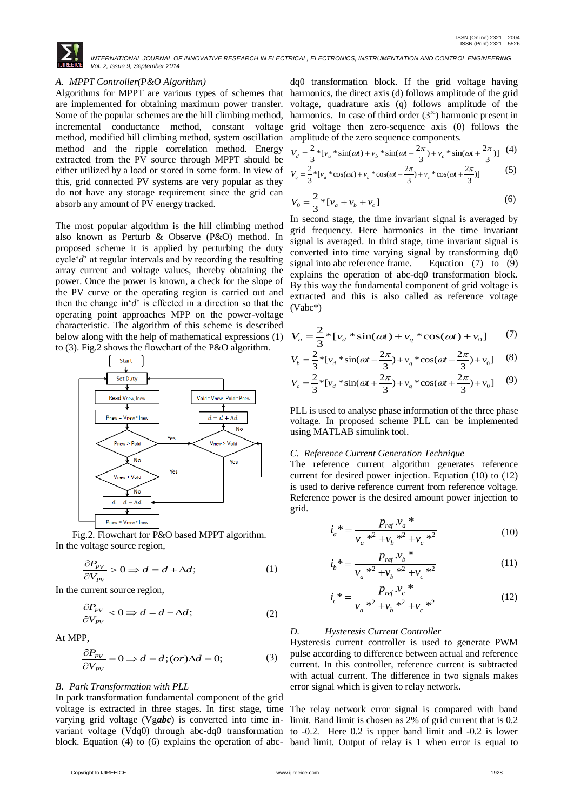

#### *A. MPPT Controller(P&O Algorithm)*

are implemented for obtaining maximum power transfer. Some of the popular schemes are the hill climbing method, method, modified hill climbing method, system oscillation method and the ripple correlation method. Energy extracted from the PV source through MPPT should be either utilized by a load or stored in some form. In view of this, grid connected PV systems are very popular as they do not have any storage requirement since the grid can absorb any amount of PV energy tracked.

The most popular algorithm is the hill climbing method also known as Perturb & Observe (P&O) method. In proposed scheme it is applied by perturbing the duty cycle"*d*" at regular intervals and by recording the resulting array current and voltage values, thereby obtaining the power. Once the power is known, a check for the slope of the PV curve or the operating region is carried out and then the change in' $d'$  is effected in a direction so that the operating point approaches MPP on the power-voltage characteristic. The algorithm of this scheme is described below along with the help of mathematical expressions (1) to (3). Fig.2 shows the flowchart of the P&O algorithm.



Fig.2. Flowchart for P&O based MPPT algorithm. In the voltage source region,

$$
\frac{\partial P_{\rho V}}{\partial V_{\rho V}} > 0 \Rightarrow d = d + \Delta d; \tag{1}
$$

In the current source region,

$$
\frac{\partial P_{PV}}{\partial V_{PV}} < 0 \Rightarrow d = d - \Delta d; \tag{2}
$$

At MPP,

$$
\frac{\partial P_{\rho V}}{\partial V_{\rho V}} = 0 \Longrightarrow d = d; (or)\Delta d = 0; \tag{3}
$$

#### *B. Park Transformation with PLL*

In park transformation fundamental component of the grid voltage is extracted in three stages. In first stage, time The relay network error signal is compared with band varying grid voltage (Vg*abc*) is converted into time invariant voltage (Vdq0) through abc-dq0 transformation to -0.2. Here 0.2 is upper band limit and -0.2 is lower block. Equation (4) to (6) explains the operation of abc-band limit. Output of relay is 1 when error is equal to

$$
V_d = \frac{2}{3} * [v_a * sin(\omega t) + v_b * sin(\omega t - \frac{2\pi}{3}) + v_c * sin(\omega t + \frac{2\pi}{3})]
$$
 (4)

$$
V_q = \frac{2}{3} * [v_a * \cos(\omega t) + v_b * \cos(\omega t - \frac{2\pi}{3}) + v_c * \cos(\omega t + \frac{2\pi}{3})]
$$
(5)

$$
V_0 = \frac{2}{3} * [v_a + v_b + v_c]
$$
 (6)

In second stage, the time invariant signal is averaged by grid frequency. Here harmonics in the time invariant signal is averaged. In third stage, time invariant signal is converted into time varying signal by transforming dq0 signal into abc reference frame. Equation (7) to (9) explains the operation of abc-dq0 transformation block. By this way the fundamental component of grid voltage is extracted and this is also called as reference voltage (Vabc\*)

$$
V_a = \frac{2}{3} * [v_d * sin(\omega t) + v_q * cos(\omega t) + v_0]
$$
 (7)

$$
V_b = \frac{2}{3} * [v_d * sin(\omega t - \frac{2\pi}{3}) + v_q * cos(\omega t - \frac{2\pi}{3}) + v_0]
$$
 (8)

$$
V_c = \frac{2}{3} * [v_d * sin(\omega t + \frac{2\pi}{3}) + v_q * cos(\omega t + \frac{2\pi}{3}) + v_0]
$$
 (9)

PLL is used to analyse phase information of the three phase voltage. In proposed scheme PLL can be implemented using MATLAB simulink tool.

## *C. Reference Current Generation Technique*

The reference current algorithm generates reference current for desired power injection. Equation (10) to (12) is used to derive reference current from reference voltage. Reference power is the desired amount power injection to grid.

$$
i_a^* = \frac{p_{ref} \cdot v_a^*}{v_a^{*2} + v_b^{*2} + v_c^{*2}}
$$
 (10)

$$
i_b^* = \frac{p_{ref} \cdot v_b^*}{v_a^{*2} + v_b^{*2} + v_c^{*2}}
$$
 (11)

$$
i_c^* = \frac{p_{ref} \nu_c^*}{\nu_a^{*2} + \nu_b^{*2} + \nu_c^{*2}}
$$
 (12)

#### *D. Hysteresis Current Controller*

Hysteresis current controller is used to generate PWM pulse according to difference between actual and reference current. In this controller, reference current is subtracted with actual current. The difference in two signals makes error signal which is given to relay network.

limit. Band limit is chosen as 2% of grid current that is 0.2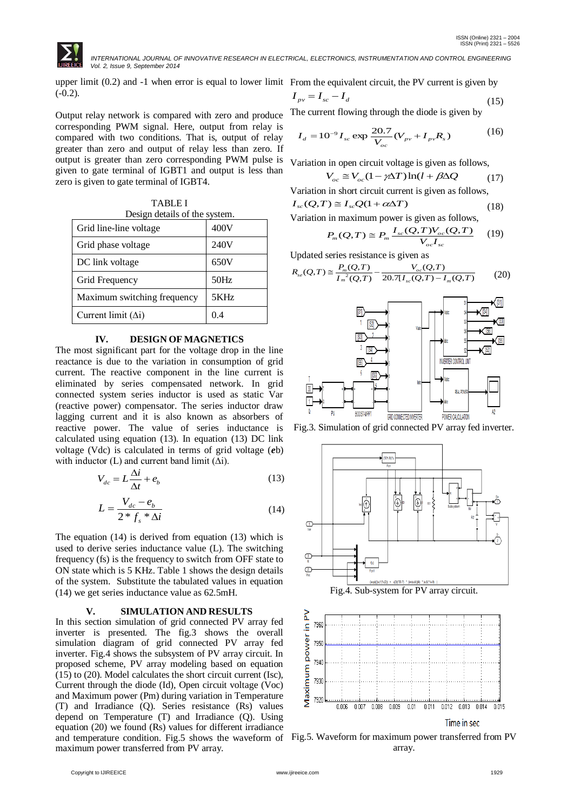

upper limit (0.2) and -1 when error is equal to lower limit From the equivalent circuit, the PV current is given by  $(-0.2)$ .

Output relay network is compared with zero and produce corresponding PWM signal. Here, output from relay is compared with two conditions. That is, output of relay greater than zero and output of relay less than zero. If output is greater than zero corresponding PWM pulse is given to gate terminal of IGBT1 and output is less than zero is given to gate terminal of IGBT4.

TABLE I Design details of the system.

| Grid line-line voltage      | 400V |
|-----------------------------|------|
| Grid phase voltage          | 240V |
| DC link voltage             | 650V |
| Grid Frequency              | 50Hz |
| Maximum switching frequency | 5KHz |
| Current limit $(\Delta i)$  | 04   |

#### **IV. DESIGN OF MAGNETICS**

The most significant part for the voltage drop in the line reactance is due to the variation in consumption of grid current. The reactive component in the line current is eliminated by series compensated network. In grid connected system series inductor is used as static Var (reactive power) compensator. The series inductor draw lagging current and it is also known as absorbers of reactive power. The value of series inductance is calculated using equation (13). In equation (13) DC link voltage (Vdc) is calculated in terms of grid voltage (*e*b) with inductor (L) and current band limit  $(\Delta i)$ .

$$
V_{dc} = L\frac{\Delta i}{\Delta t} + e_b \tag{13}
$$

$$
L = \frac{V_{dc} - e_b}{2 \cdot f_s \cdot \Delta i} \tag{14}
$$

The equation (14) is derived from equation (13) which is used to derive series inductance value (L). The switching frequency (fs) is the frequency to switch from OFF state to ON state which is 5 KHz. Table 1 shows the design details of the system. Substitute the tabulated values in equation (14) we get series inductance value as 62.5mH.

#### **V. SIMULATION AND RESULTS**

In this section simulation of grid connected PV array fed inverter is presented. The fig.3 shows the overall simulation diagram of grid connected PV array fed inverter. Fig.4 shows the subsystem of PV array circuit. In proposed scheme, PV array modeling based on equation (15) to (20). Model calculates the short circuit current (Isc), Current through the diode (Id), Open circuit voltage (Voc) and Maximum power (Pm) during variation in Temperature (T) and Irradiance (Q). Series resistance (Rs) values depend on Temperature (T) and Irradiance (Q). Using equation (20) we found (Rs) values for different irradiance and temperature condition. Fig.5 shows the waveform of Fig.5. Waveform for maximum power transferred from PV maximum power transferred from PV array.

 $I_{pv} = I_{sc} - I_d$ (15)

The current flowing through the diode is given by

$$
I_d = 10^{-9} I_{sc} \exp \frac{20.7}{V_{oc}} (V_{pv} + I_{pv} R_s)
$$
 (16)

Variation in open circuit voltage is given as follows,

$$
V_{oc} \cong V_{oc} (1 - \gamma \Delta T) \ln(l + \beta \Delta Q) \tag{17}
$$

Variation in short circuit current is given as follows,

$$
I_{sc}(Q,T) \cong I_{sc}Q(1+\alpha\Delta T) \tag{18}
$$

Variation in maximum power is given as follows,

$$
P_m(Q,T) \cong P_m \frac{I_{sc}(Q,T)V_{oc}(Q,T)}{V_{oc}I_{sc}} \tag{19}
$$

Updated series resistance is given as  
\n
$$
R_{se}(Q,T) \cong \frac{P_m(Q,T)}{I_m^2(Q,T)} - \frac{V_{oc}(Q,T)}{20.7[I_{sc}(Q,T) - I_m(Q,T)} \qquad (20)
$$



Fig.3. Simulation of grid connected PV array fed inverter.



Fig.4. Sub-system for PV array circuit.



array.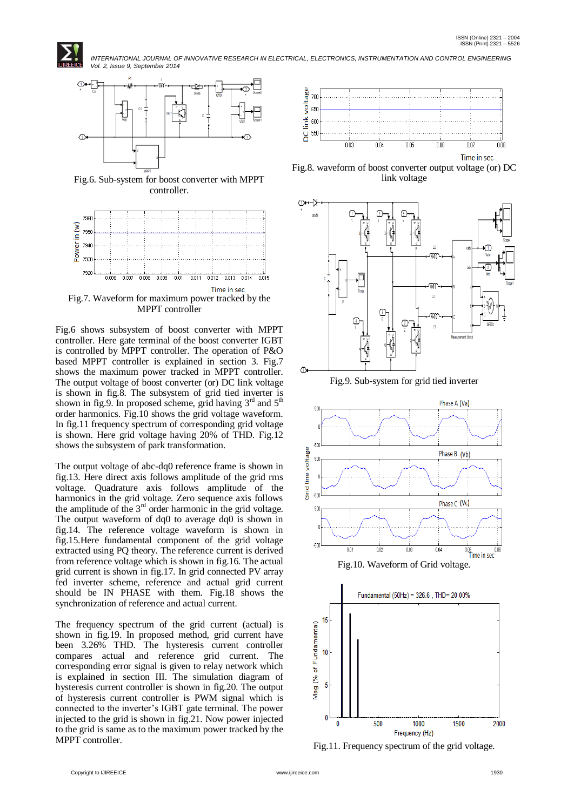



Fig.6. Sub-system for boost converter with MPPT controller.



Fig.6 shows subsystem of boost converter with MPPT controller. Here gate terminal of the boost converter IGBT is controlled by MPPT controller. The operation of P&O based MPPT controller is explained in section 3. Fig.7 shows the maximum power tracked in MPPT controller. The output voltage of boost converter (or) DC link voltage is shown in fig.8. The subsystem of grid tied inverter is shown in fig.9. In proposed scheme, grid having  $3<sup>rd</sup>$  and  $5<sup>th</sup>$ order harmonics. Fig.10 shows the grid voltage waveform. In fig.11 frequency spectrum of corresponding grid voltage is shown. Here grid voltage having 20% of THD. Fig.12 shows the subsystem of park transformation.

The output voltage of abc-dq0 reference frame is shown in fig.13. Here direct axis follows amplitude of the grid rms voltage. Quadrature axis follows amplitude of the harmonics in the grid voltage. Zero sequence axis follows the amplitude of the  $3<sup>rd</sup>$  order harmonic in the grid voltage. The output waveform of dq0 to average dq0 is shown in fig.14. The reference voltage waveform is shown in fig.15.Here fundamental component of the grid voltage extracted using PQ theory. The reference current is derived from reference voltage which is shown in fig.16. The actual grid current is shown in fig.17. In grid connected PV array fed inverter scheme, reference and actual grid current should be IN PHASE with them. Fig.18 shows the synchronization of reference and actual current.

The frequency spectrum of the grid current (actual) is shown in fig.19. In proposed method, grid current have been 3.26% THD. The hysteresis current controller compares actual and reference grid current. The corresponding error signal is given to relay network which is explained in section III. The simulation diagram of hysteresis current controller is shown in fig.20. The output of hysteresis current controller is PWM signal which is connected to the inverter"s IGBT gate terminal. The power injected to the grid is shown in fig.21. Now power injected to the grid is same as to the maximum power tracked by the MPPT controller.



Time in sec

Fig.8. waveform of boost converter output voltage (or) DC link voltage



Fig.9. Sub-system for grid tied inverter





Fig.11. Frequency spectrum of the grid voltage.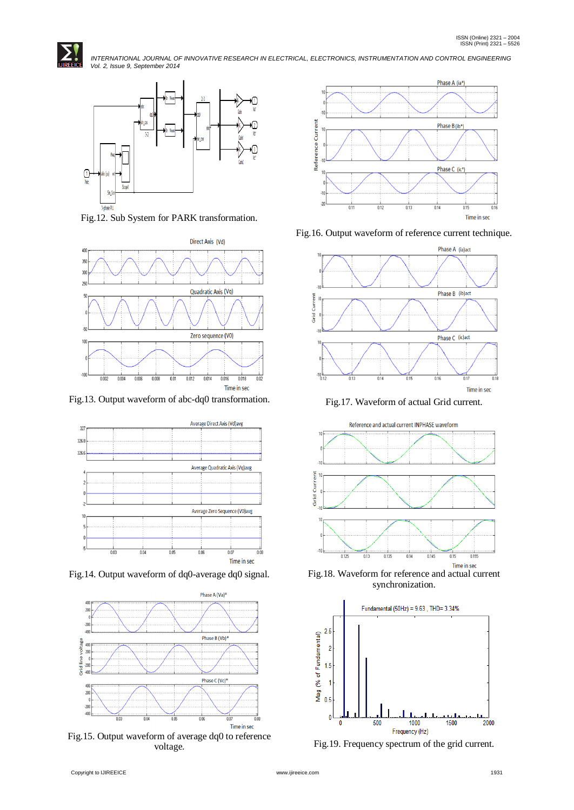



Fig.12. Sub System for PARK transformation.



Fig.13. Output waveform of abc-dq0 transformation.



Fig.14. Output waveform of dq0-average dq0 signal.



Fig.15. Output waveform of average dq0 to reference voltage.



Fig.16. Output waveform of reference current technique.



Fig.17. Waveform of actual Grid current.



Fig.18. Waveform for reference and actual current synchronization.



Fig.19. Frequency spectrum of the grid current.